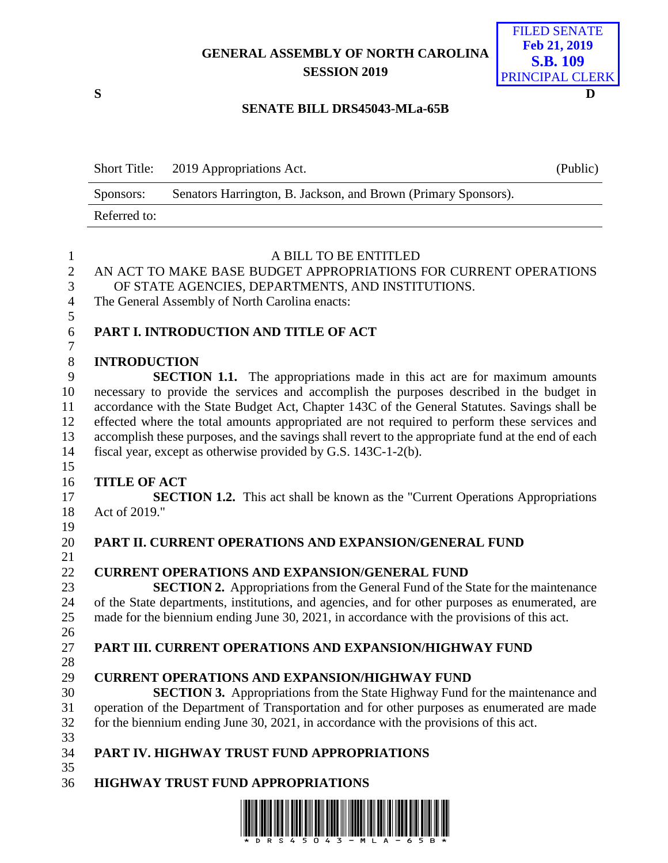## **GENERAL ASSEMBLY OF NORTH CAROLINA SESSION 2019**



## **SENATE BILL DRS45043-MLa-65B**

|              | Short Title: 2019 Appropriations Act.                          | (Public) |
|--------------|----------------------------------------------------------------|----------|
| Sponsors:    | Senators Harrington, B. Jackson, and Brown (Primary Sponsors). |          |
| Referred to: |                                                                |          |

| $\mathbf{1}$   | A BILL TO BE ENTITLED                                                                              |
|----------------|----------------------------------------------------------------------------------------------------|
| $\overline{2}$ | AN ACT TO MAKE BASE BUDGET APPROPRIATIONS FOR CURRENT OPERATIONS                                   |
| 3              | OF STATE AGENCIES, DEPARTMENTS, AND INSTITUTIONS.                                                  |
| $\overline{4}$ | The General Assembly of North Carolina enacts:                                                     |
| 5              |                                                                                                    |
| 6              | PART I. INTRODUCTION AND TITLE OF ACT                                                              |
| $\overline{7}$ |                                                                                                    |
| $8\,$          | <b>INTRODUCTION</b>                                                                                |
| 9              | <b>SECTION 1.1.</b> The appropriations made in this act are for maximum amounts                    |
| 10             | necessary to provide the services and accomplish the purposes described in the budget in           |
| 11             | accordance with the State Budget Act, Chapter 143C of the General Statutes. Savings shall be       |
| 12             | effected where the total amounts appropriated are not required to perform these services and       |
| 13             | accomplish these purposes, and the savings shall revert to the appropriate fund at the end of each |
| 14             | fiscal year, except as otherwise provided by G.S. 143C-1-2(b).                                     |
| 15             |                                                                                                    |
| 16             | <b>TITLE OF ACT</b>                                                                                |
| 17             | <b>SECTION 1.2.</b> This act shall be known as the "Current Operations Appropriations"             |
| 18             | Act of 2019."                                                                                      |
| 19             |                                                                                                    |
| 20             | PART II. CURRENT OPERATIONS AND EXPANSION/GENERAL FUND                                             |
| 21             |                                                                                                    |
| 22             | <b>CURRENT OPERATIONS AND EXPANSION/GENERAL FUND</b>                                               |
| 23             | <b>SECTION 2.</b> Appropriations from the General Fund of the State for the maintenance            |
| 24             | of the State departments, institutions, and agencies, and for other purposes as enumerated, are    |
| 25             | made for the biennium ending June 30, 2021, in accordance with the provisions of this act.         |
| 26             |                                                                                                    |
| 27             | PART III. CURRENT OPERATIONS AND EXPANSION/HIGHWAY FUND                                            |
| 28             |                                                                                                    |
| 29             | <b>CURRENT OPERATIONS AND EXPANSION/HIGHWAY FUND</b>                                               |
| 30             | <b>SECTION 3.</b> Appropriations from the State Highway Fund for the maintenance and               |
| 31             | operation of the Department of Transportation and for other purposes as enumerated are made        |
| 32             | for the biennium ending June 30, 2021, in accordance with the provisions of this act.              |
| 33             |                                                                                                    |
| 34             | PART IV. HIGHWAY TRUST FUND APPROPRIATIONS                                                         |
| 35             |                                                                                                    |
| 36             | <b>HIGHWAY TRUST FUND APPROPRIATIONS</b>                                                           |
|                |                                                                                                    |